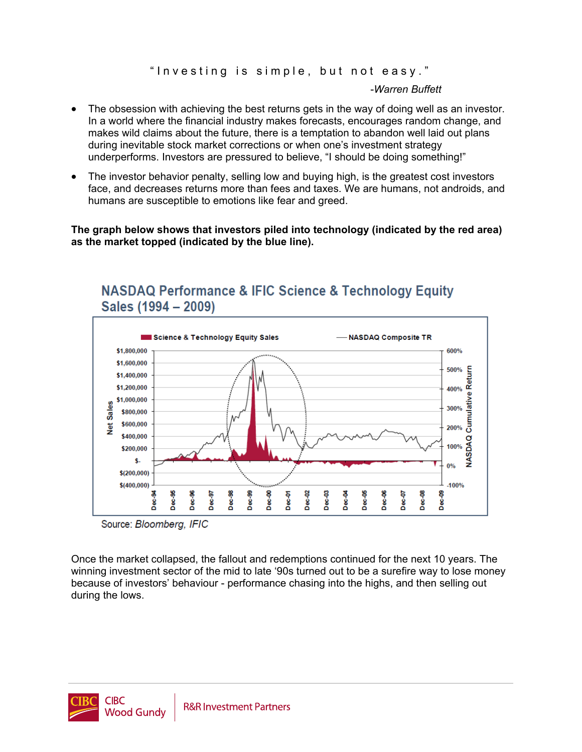"Investing is simple, but not easy."

-*Warren Buffett*

- The obsession with achieving the best returns gets in the way of doing well as an investor. In a world where the financial industry makes forecasts, encourages random change, and makes wild claims about the future, there is a temptation to abandon well laid out plans during inevitable stock market corrections or when one's investment strategy underperforms. Investors are pressured to believe, "I should be doing something!"
- The investor behavior penalty, selling low and buying high, is the greatest cost investors face, and decreases returns more than fees and taxes. We are humans, not androids, and humans are susceptible to emotions like fear and greed.

## **The graph below shows that investors piled into technology (indicated by the red area) as the market topped (indicated by the blue line).**



## **NASDAQ Performance & IFIC Science & Technology Equity** Sales (1994 - 2009)

Source: Bloomberg, IFIC

Once the market collapsed, the fallout and redemptions continued for the next 10 years. The winning investment sector of the mid to late '90s turned out to be a surefire way to lose money because of investors' behaviour - performance chasing into the highs, and then selling out during the lows.